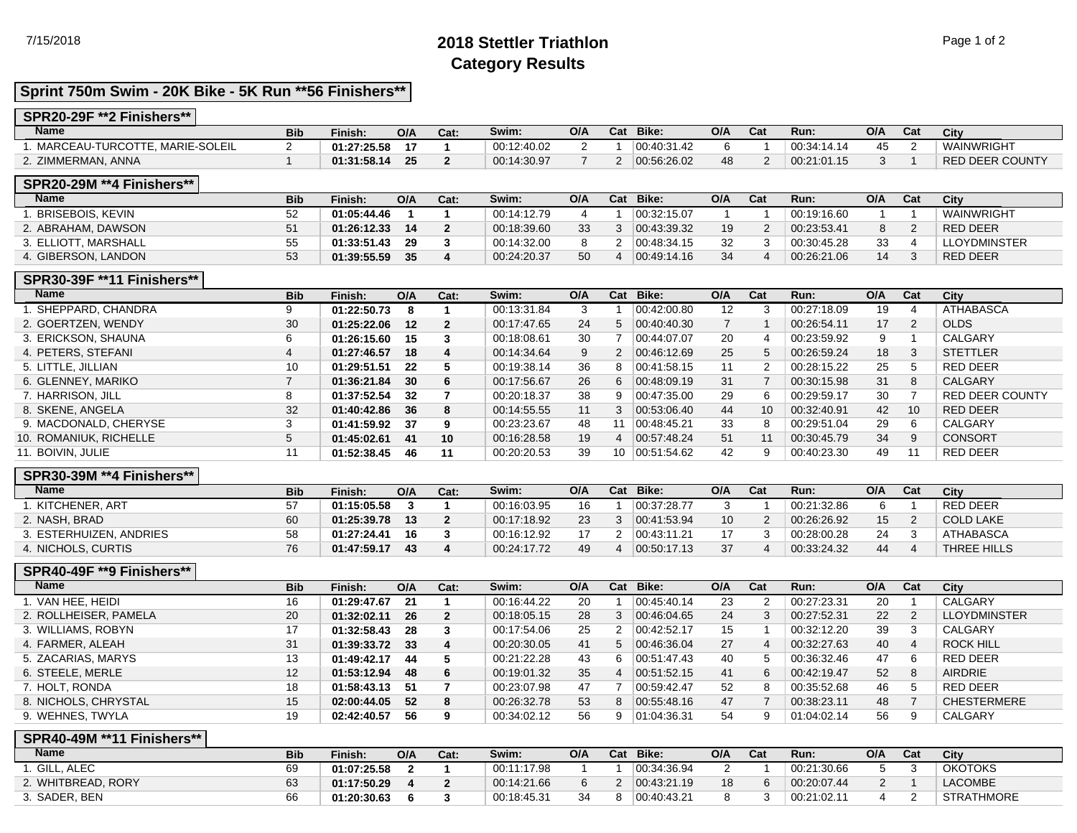## 7/15/2018 **2018 Stettler Triathlon** Page 1 of 2 **Category Results**

## **Sprint 750m Swim - 20K Bike - 5K Run \*\*56 Finishers\*\***

#### **SPR20-29F \*\*2 Finishers\*\***

| <b>Name</b>                      | <b>Bib</b> | Finish:     | O/A | Cat: | Swim:       | O/A | $R_{\alpha}$<br>udl | Bike:       | O/A | Cat | Run:        | O/A | Cat | City                   |
|----------------------------------|------------|-------------|-----|------|-------------|-----|---------------------|-------------|-----|-----|-------------|-----|-----|------------------------|
| . MARCEAU-TURCOTTE. MARIE-SOLEIL |            | 01:27:25.58 |     |      | 00:12:40.02 |     |                     | 00:40:31.42 |     |     | 00:34:14.14 |     |     | WAINWRIGHT             |
| 2. ZIMMERMAN, ANNA               |            | 01:31:58.14 | כא  |      | 00:14:30.97 |     |                     | 00:56:26.02 | 48  |     | 00.21.01.15 |     |     | <b>RED DEER COUNTY</b> |

#### **SPR20-29M \*\*4 Finishers\*\***

| <b>Name</b>             | <b>Bib</b> | Finish:     | O/A | Cat: | Swim:       | O/A | Cat | Bike:       | O/A | Cat | Run:        | O/A | Cat | City                |
|-------------------------|------------|-------------|-----|------|-------------|-----|-----|-------------|-----|-----|-------------|-----|-----|---------------------|
| <b>BRISEBOIS, KEVIN</b> | 52         | 01:05:44.46 |     |      | 00:14:12.79 |     |     | 00:32:15.07 |     |     | 00:19:16.60 |     |     | WAINWRIGHT          |
| 2. ABRAHAM, DAWSON      |            | 01:26:12.33 | 14  |      | 00:18:39.60 | 33  |     | 00.43.39.32 | 19  |     | 00:23:53.41 |     |     | <b>RED DEER</b>     |
| 3. ELLIOTT. MARSHALL    |            | 01:33:51.43 | 29  |      | 00:14:32.00 |     |     | 00:48:34.15 | 32  |     | 00:30:45.28 | 33  |     | <b>LLOYDMINSTER</b> |
| 4. GIBERSON, LANDON     | 53         | 01:39:55.59 | 35  |      | 00:24:20.37 | 50  |     | 00.49.14.16 | 34  |     | 00:26:21.06 | 14  |     | <b>RED DEER</b>     |

## **SPR30-39F \*\*11 Finishers\*\***

| <b>ATHABASCA</b>       |
|------------------------|
|                        |
| <b>CALGARY</b>         |
| <b>STETTLER</b>        |
| RED DEER               |
| <b>CALGARY</b>         |
| <b>RED DEER COUNTY</b> |
| RED DEER               |
| CALGARY                |
| <b>CONSORT</b>         |
| <b>RED DEER</b>        |
|                        |

### **SPR30-39M \*\*4 Finishers\*\***

| <b>Name</b>          | <b>Bib</b> | Finish:     | O/A | Cat. | Swim:       | O/A | Cat | Bike:       | O/A | Cat | Run:        | O/A | Cat | City        |
|----------------------|------------|-------------|-----|------|-------------|-----|-----|-------------|-----|-----|-------------|-----|-----|-------------|
| . KITCHENER, ART     | 57         | 01:15:05.58 |     |      | 00:16:03.95 | 16  |     | 00:37:28.77 |     |     | 00:21:32.86 |     |     | RED DEER    |
| 2. NASH. BRAD        | 60         | 01:25:39.78 | 13  |      | 00:17:18.92 | 23  |     | 00.41.53.94 | 10  |     | 00:26:26.92 | 15  |     | COLD LAKE   |
| ESTERHUIZEN, ANDRIES | 58         | 01:27:24.41 | 16  |      | 00:16:12.92 |     |     | 00.43:11.21 |     |     | 00:28:00.28 | 24  |     | ATHABASCA   |
| 4. NICHOLS, CURTIS   | 76         | 01:47:59.17 | 43  |      | 00:24:17.72 | 49  |     | 00:50:17.13 | 37  |     | 00:33:24.32 | 44  |     | THREE HILLS |

#### **SPR40-49F \*\*9 Finishers\*\***

| <b>Name</b>           | <b>Bib</b> | Finish:     | O/A | Cat:           | Swim:       | O/A | Cat | Bike:       | O/A | Cat | Run:        | O/A | Cat | City                |
|-----------------------|------------|-------------|-----|----------------|-------------|-----|-----|-------------|-----|-----|-------------|-----|-----|---------------------|
| 1. VAN HEE. HEIDI     | 16         | 01:29:47.67 | 21  |                | 00:16:44.22 | 20  |     | 00:45:40.14 | 23  |     | 00:27:23.31 | 20  |     | CALGARY             |
| 2. ROLLHEISER, PAMELA | 20         | 01:32:02.11 | 26  | $\overline{2}$ | 00:18:05.15 | 28  |     | 00:46:04.65 | 24  | 3   | 00:27:52.31 | 22  | 2   | <b>LLOYDMINSTER</b> |
| 3. WILLIAMS, ROBYN    | 17         | 01:32:58.43 | 28  | -3             | 00:17:54.06 | 25  | 2   | 00:42:52.17 | 15  |     | 00:32:12.20 | 39  |     | CALGARY             |
| 4. FARMER, ALEAH      | 31         | 01:39:33.72 | 33  | -4             | 00:20:30.05 | 41  | 5.  | 00.46.36.04 | 27  | 4   | 00:32:27.63 | 40  | 4   | <b>ROCK HILL</b>    |
| 5. ZACARIAS, MARYS    | 13         | 01:49:42.17 | 44  | -5             | 00:21:22.28 | 43  |     | 00:51:47.43 | 40  | .5  | 00:36:32.46 | 47  | 6   | <b>RED DEER</b>     |
| 6. STEELE, MERLE      | 12         | 01:53:12.94 | 48  | 6              | 00:19:01.32 | 35  |     | 00:51:52.15 | 41  | 6   | 00:42:19.47 | 52  | 8   | <b>AIRDRIE</b>      |
| 7. HOLT, RONDA        | 18         | 01:58:43.13 | -51 |                | 00:23:07.98 | 47  |     | 00:59:42.47 | 52  | -8  | 00:35:52.68 | 46  |     | <b>RED DEER</b>     |
| 8. NICHOLS, CHRYSTAL  | 15         | 02:00:44.05 | 52  | 8              | 00:26:32.78 | 53  | 8   | 00:55:48.16 | 47  |     | 00:38:23.11 | 48  |     | <b>CHESTERMERE</b>  |
| 9. WEHNES, TWYLA      | 19         | 02:42:40.57 | 56  | 9              | 00:34:02.12 | 56  |     | 01:04:36.31 | 54  | 9   | 01:04:02.14 | 56  | 9   | CALGARY             |

### **SPR40-49M \*\*11 Finishers\*\***

| <b>Name</b>        | <b>Bib</b> | Finish:     | O/A | Cat: | Swim:       | O/A | Cat | Bike:       | O/A | Cat | Run:        | O/A | Cat | City              |
|--------------------|------------|-------------|-----|------|-------------|-----|-----|-------------|-----|-----|-------------|-----|-----|-------------------|
| . GILL, ALEC       | 69         | 01:07:25.58 |     |      | 00:11:17.98 |     |     | 00.34.36.94 |     |     | 00:21:30.66 |     |     | <b>OKOTOKS</b>    |
| 2. WHITBREAD, RORY | 63         | 01:17:50.29 |     |      | 00:14:21.66 |     |     | 00.43.21.19 | 18  |     | 00:20:07.44 |     |     | <b>LACOMBE</b>    |
| 3. SADER, BEN      | 66         | 01:20:30.63 |     |      | 00:18:45.31 | 34  |     | 00:40:43.21 |     |     | 00:21:02.11 |     |     | <b>STRATHMORE</b> |